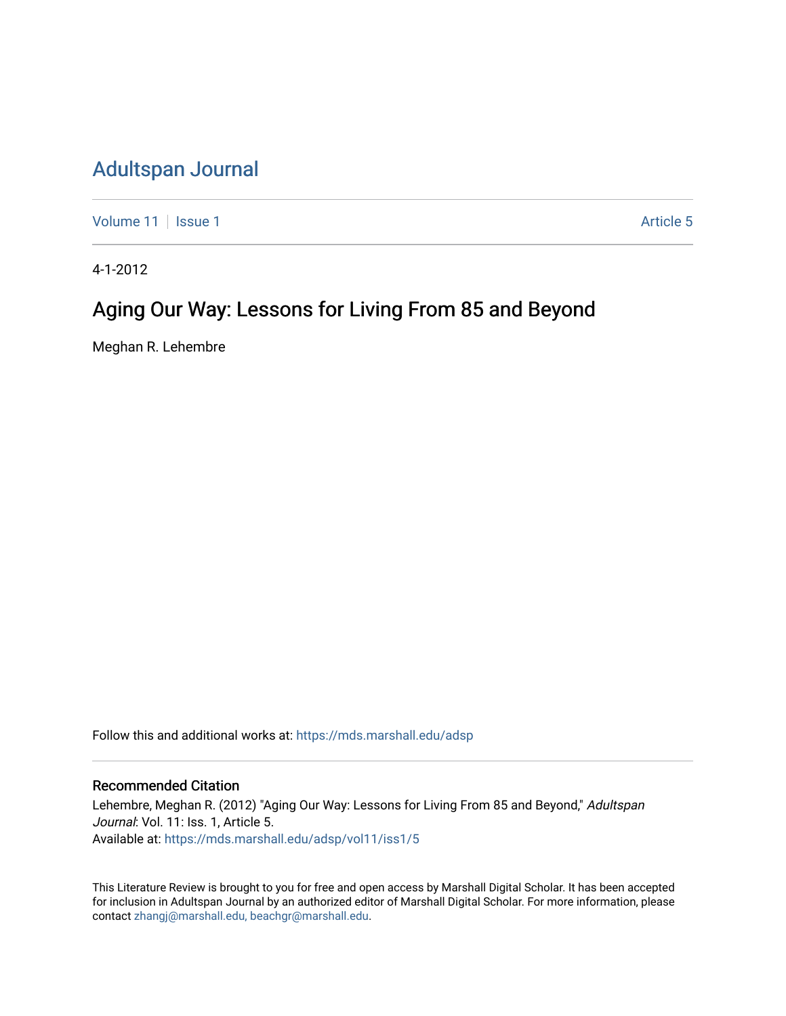## [Adultspan Journal](https://mds.marshall.edu/adsp)

[Volume 11](https://mds.marshall.edu/adsp/vol11) | [Issue 1](https://mds.marshall.edu/adsp/vol11/iss1) Article 5

4-1-2012

## Aging Our Way: Lessons for Living From 85 and Beyond

Meghan R. Lehembre

Follow this and additional works at: [https://mds.marshall.edu/adsp](https://mds.marshall.edu/adsp?utm_source=mds.marshall.edu%2Fadsp%2Fvol11%2Fiss1%2F5&utm_medium=PDF&utm_campaign=PDFCoverPages) 

### Recommended Citation

Lehembre, Meghan R. (2012) "Aging Our Way: Lessons for Living From 85 and Beyond," Adultspan Journal: Vol. 11: Iss. 1, Article 5. Available at: [https://mds.marshall.edu/adsp/vol11/iss1/5](https://mds.marshall.edu/adsp/vol11/iss1/5?utm_source=mds.marshall.edu%2Fadsp%2Fvol11%2Fiss1%2F5&utm_medium=PDF&utm_campaign=PDFCoverPages) 

This Literature Review is brought to you for free and open access by Marshall Digital Scholar. It has been accepted for inclusion in Adultspan Journal by an authorized editor of Marshall Digital Scholar. For more information, please contact [zhangj@marshall.edu, beachgr@marshall.edu](mailto:zhangj@marshall.edu,%20beachgr@marshall.edu).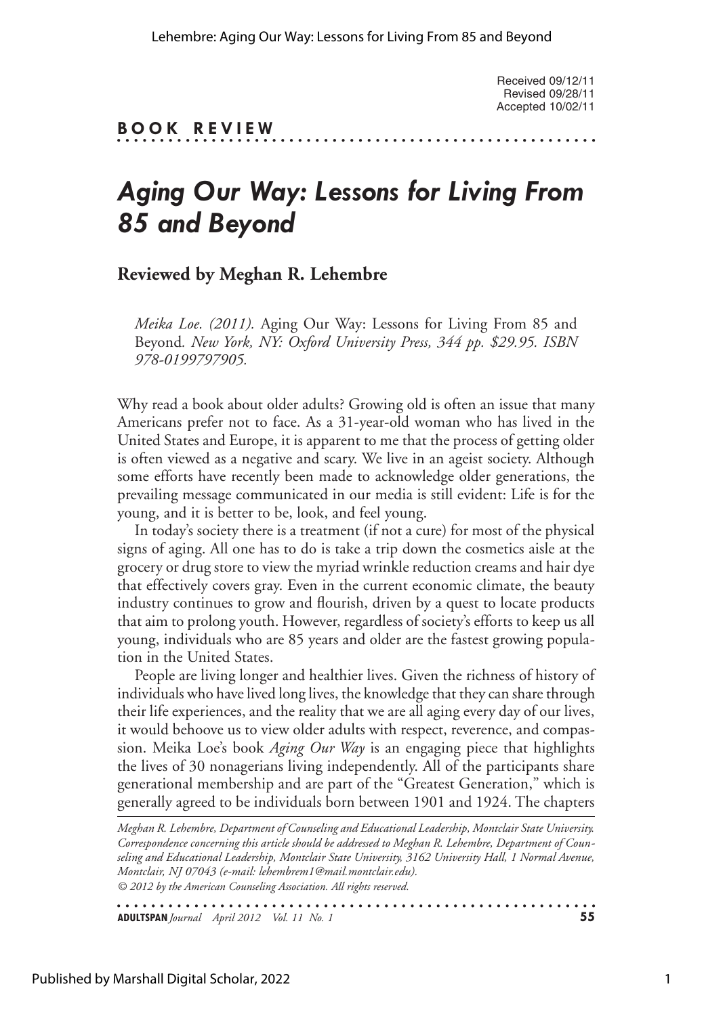| <b>BOOK REVIEW</b> |  |  |  |  |  |  |  |  |  |  |  |  |  |  |  |  |  |  |  |  |  |  |  |  |  |  |  |
|--------------------|--|--|--|--|--|--|--|--|--|--|--|--|--|--|--|--|--|--|--|--|--|--|--|--|--|--|--|
|                    |  |  |  |  |  |  |  |  |  |  |  |  |  |  |  |  |  |  |  |  |  |  |  |  |  |  |  |

# *Aging Our Way: Lessons for Living From 85 and Beyond*

### **Reviewed by Meghan R. Lehembre**

*Meika Loe. (2011).* Aging Our Way: Lessons for Living From 85 and Beyond*. New York, NY: Oxford University Press, 344 pp. \$29.95. ISBN 978-0199797905.*

Why read a book about older adults? Growing old is often an issue that many Americans prefer not to face. As a 31-year-old woman who has lived in the United States and Europe, it is apparent to me that the process of getting older is often viewed as a negative and scary. We live in an ageist society. Although some efforts have recently been made to acknowledge older generations, the prevailing message communicated in our media is still evident: Life is for the young, and it is better to be, look, and feel young.

In today's society there is a treatment (if not a cure) for most of the physical signs of aging. All one has to do is take a trip down the cosmetics aisle at the grocery or drug store to view the myriad wrinkle reduction creams and hair dye that effectively covers gray. Even in the current economic climate, the beauty industry continues to grow and flourish, driven by a quest to locate products that aim to prolong youth. However, regardless of society's efforts to keep us all young, individuals who are 85 years and older are the fastest growing population in the United States.

People are living longer and healthier lives. Given the richness of history of individuals who have lived long lives, the knowledge that they can share through their life experiences, and the reality that we are all aging every day of our lives, it would behoove us to view older adults with respect, reverence, and compassion. Meika Loe's book *Aging Our Way* is an engaging piece that highlights the lives of 30 nonagerians living independently. All of the participants share generational membership and are part of the "Greatest Generation," which is generally agreed to be individuals born between 1901 and 1924. The chapters

*© 2012 by the American Counseling Association. All rights reserved. Meghan R. Lehembre, Department of Counseling and Educational Leadership, Montclair State University. Correspondence concerning this article should be addressed to Meghan R. Lehembre, Department of Counseling and Educational Leadership, Montclair State University, 3162 University Hall, 1 Normal Avenue, Montclair, NJ 07043 (e-mail: lehembrem1@mail.montclair.edu).*

**ADULTSPAN***Journal April 2012 Vol. 11 No. 1* **55**

Published by Marshall Digital Scholar, 2022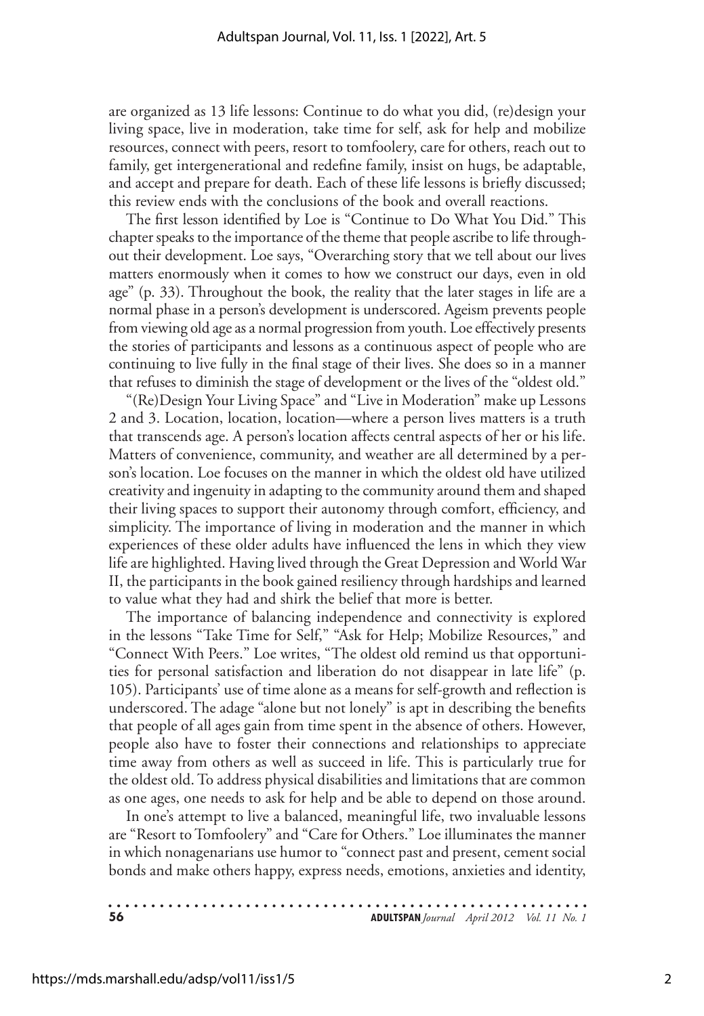are organized as 13 life lessons: Continue to do what you did, (re)design your living space, live in moderation, take time for self, ask for help and mobilize resources, connect with peers, resort to tomfoolery, care for others, reach out to family, get intergenerational and redefine family, insist on hugs, be adaptable, and accept and prepare for death. Each of these life lessons is briefly discussed; this review ends with the conclusions of the book and overall reactions.

The first lesson identified by Loe is "Continue to Do What You Did." This chapter speaks to the importance of the theme that people ascribe to life throughout their development. Loe says, "Overarching story that we tell about our lives matters enormously when it comes to how we construct our days, even in old age" (p. 33). Throughout the book, the reality that the later stages in life are a normal phase in a person's development is underscored. Ageism prevents people from viewing old age as a normal progression from youth. Loe effectively presents the stories of participants and lessons as a continuous aspect of people who are continuing to live fully in the final stage of their lives. She does so in a manner that refuses to diminish the stage of development or the lives of the "oldest old."

"(Re)Design Your Living Space" and "Live in Moderation" make up Lessons 2 and 3. Location, location, location—where a person lives matters is a truth that transcends age. A person's location affects central aspects of her or his life. Matters of convenience, community, and weather are all determined by a person's location. Loe focuses on the manner in which the oldest old have utilized creativity and ingenuity in adapting to the community around them and shaped their living spaces to support their autonomy through comfort, efficiency, and simplicity. The importance of living in moderation and the manner in which experiences of these older adults have influenced the lens in which they view life are highlighted. Having lived through the Great Depression and World War II, the participants in the book gained resiliency through hardships and learned to value what they had and shirk the belief that more is better.

The importance of balancing independence and connectivity is explored in the lessons "Take Time for Self," "Ask for Help; Mobilize Resources," and "Connect With Peers." Loe writes, "The oldest old remind us that opportunities for personal satisfaction and liberation do not disappear in late life" (p. 105). Participants' use of time alone as a means for self-growth and reflection is underscored. The adage "alone but not lonely" is apt in describing the benefits that people of all ages gain from time spent in the absence of others. However, people also have to foster their connections and relationships to appreciate time away from others as well as succeed in life. This is particularly true for the oldest old. To address physical disabilities and limitations that are common as one ages, one needs to ask for help and be able to depend on those around.

In one's attempt to live a balanced, meaningful life, two invaluable lessons are "Resort to Tomfoolery" and "Care for Others." Loe illuminates the manner in which nonagenarians use humor to "connect past and present, cement social bonds and make others happy, express needs, emotions, anxieties and identity,

| - 56 | <b>ADULTSPAN</b> Journal April 2012 Vol. 11 No. 1 |  |
|------|---------------------------------------------------|--|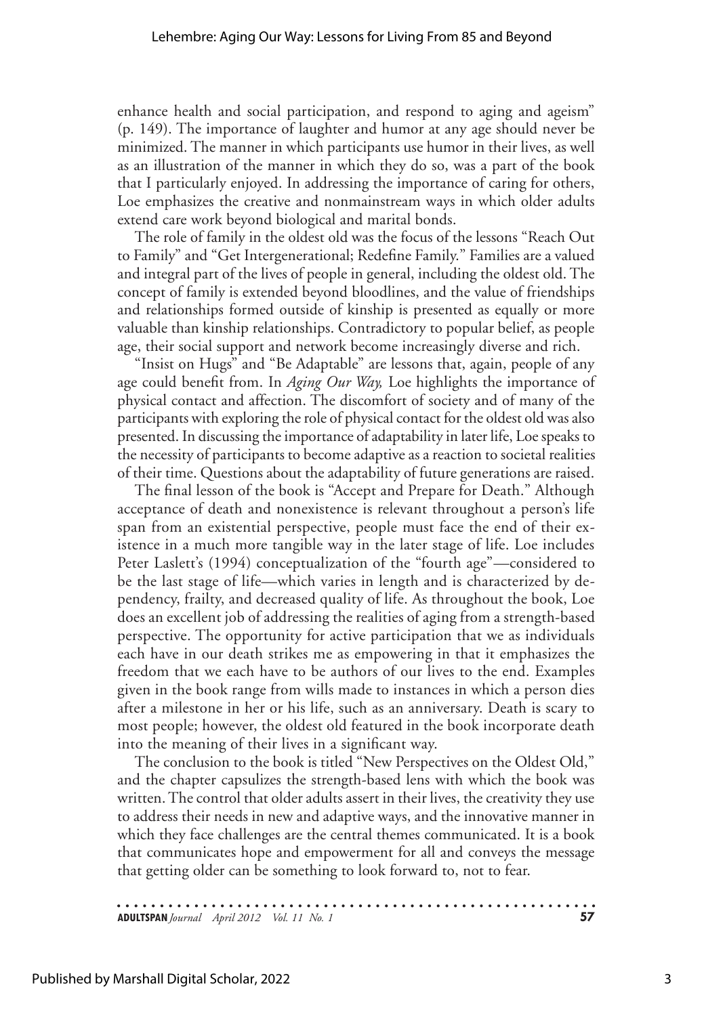enhance health and social participation, and respond to aging and ageism" (p. 149). The importance of laughter and humor at any age should never be minimized. The manner in which participants use humor in their lives, as well as an illustration of the manner in which they do so, was a part of the book that I particularly enjoyed. In addressing the importance of caring for others, Loe emphasizes the creative and nonmainstream ways in which older adults extend care work beyond biological and marital bonds.

The role of family in the oldest old was the focus of the lessons "Reach Out to Family" and "Get Intergenerational; Redefine Family." Families are a valued and integral part of the lives of people in general, including the oldest old. The concept of family is extended beyond bloodlines, and the value of friendships and relationships formed outside of kinship is presented as equally or more valuable than kinship relationships. Contradictory to popular belief, as people age, their social support and network become increasingly diverse and rich.

"Insist on Hugs" and "Be Adaptable" are lessons that, again, people of any age could benefit from. In *Aging Our Way,* Loe highlights the importance of physical contact and affection. The discomfort of society and of many of the participants with exploring the role of physical contact for the oldest old was also presented. In discussing the importance of adaptability in later life, Loe speaks to the necessity of participants to become adaptive as a reaction to societal realities of their time. Questions about the adaptability of future generations are raised.

The final lesson of the book is "Accept and Prepare for Death." Although acceptance of death and nonexistence is relevant throughout a person's life span from an existential perspective, people must face the end of their existence in a much more tangible way in the later stage of life. Loe includes Peter Laslett's (1994) conceptualization of the "fourth age"—considered to be the last stage of life—which varies in length and is characterized by dependency, frailty, and decreased quality of life. As throughout the book, Loe does an excellent job of addressing the realities of aging from a strength-based perspective. The opportunity for active participation that we as individuals each have in our death strikes me as empowering in that it emphasizes the freedom that we each have to be authors of our lives to the end. Examples given in the book range from wills made to instances in which a person dies after a milestone in her or his life, such as an anniversary. Death is scary to most people; however, the oldest old featured in the book incorporate death into the meaning of their lives in a significant way.

The conclusion to the book is titled "New Perspectives on the Oldest Old," and the chapter capsulizes the strength-based lens with which the book was written. The control that older adults assert in their lives, the creativity they use to address their needs in new and adaptive ways, and the innovative manner in which they face challenges are the central themes communicated. It is a book that communicates hope and empowerment for all and conveys the message that getting older can be something to look forward to, not to fear.

**ADULTSPAN***Journal April 2012 Vol. 11 No. 1* **57**